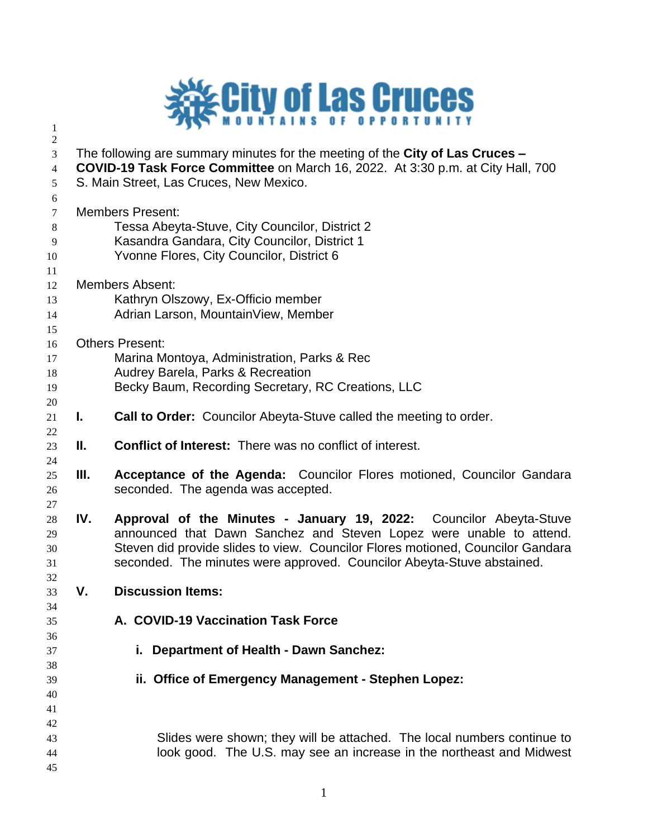

 The following are summary minutes for the meeting of the **City of Las Cruces – COVID-19 Task Force Committee** on March 16, 2022. At 3:30 p.m. at City Hall, 700 S. Main Street, Las Cruces, New Mexico. Members Present: Tessa Abeyta-Stuve, City Councilor, District 2 Kasandra Gandara, City Councilor, District 1 Yvonne Flores, City Councilor, District 6 Members Absent: Kathryn Olszowy, Ex-Officio member Adrian Larson, MountainView, Member Others Present: Marina Montoya, Administration, Parks & Rec Audrey Barela, Parks & Recreation Becky Baum, Recording Secretary, RC Creations, LLC **I. Call to Order:** Councilor Abeyta-Stuve called the meeting to order. **II. Conflict of Interest:** There was no conflict of interest. **III. Acceptance of the Agenda:** Councilor Flores motioned, Councilor Gandara seconded. The agenda was accepted. **IV. Approval of the Minutes - January 19, 2022:** Councilor Abeyta-Stuve announced that Dawn Sanchez and Steven Lopez were unable to attend. Steven did provide slides to view. Councilor Flores motioned, Councilor Gandara seconded. The minutes were approved. Councilor Abeyta-Stuve abstained. **V. Discussion Items: A. COVID-19 Vaccination Task Force i. Department of Health - Dawn Sanchez: ii. Office of Emergency Management - Stephen Lopez:** Slides were shown; they will be attached. The local numbers continue to look good. The U.S. may see an increase in the northeast and Midwest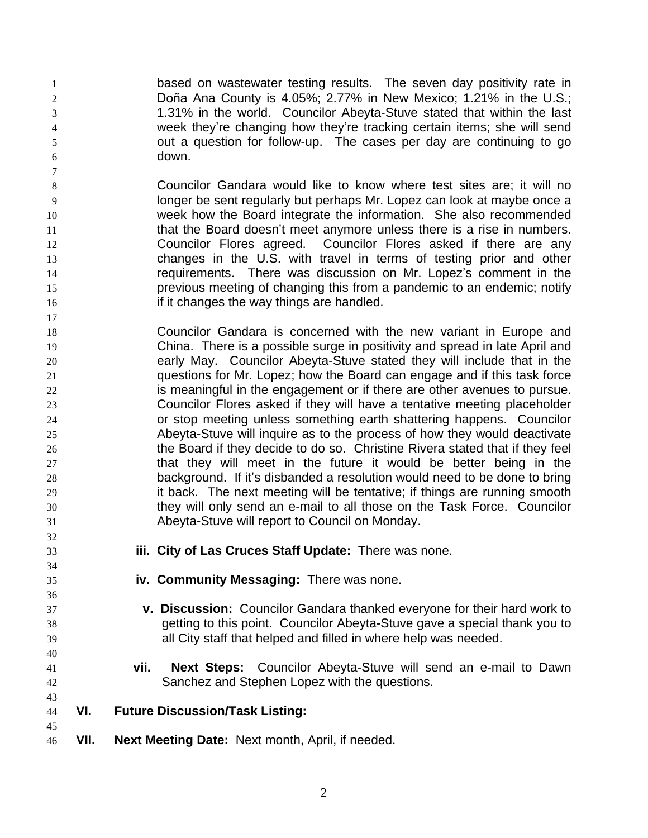**based on wastewater testing results.** The seven day positivity rate in Doña Ana County is 4.05%; 2.77% in New Mexico; 1.21% in the U.S.; 1.31% in the world. Councilor Abeyta-Stuve stated that within the last week they're changing how they're tracking certain items; she will send out a question for follow-up. The cases per day are continuing to go down.

- Councilor Gandara would like to know where test sites are; it will no longer be sent regularly but perhaps Mr. Lopez can look at maybe once a week how the Board integrate the information. She also recommended 11 that the Board doesn't meet anymore unless there is a rise in numbers. Councilor Flores agreed. Councilor Flores asked if there are any changes in the U.S. with travel in terms of testing prior and other requirements. There was discussion on Mr. Lopez's comment in the previous meeting of changing this from a pandemic to an endemic; notify **if it changes the way things are handled.**
- Councilor Gandara is concerned with the new variant in Europe and China. There is a possible surge in positivity and spread in late April and early May. Councilor Abeyta-Stuve stated they will include that in the questions for Mr. Lopez; how the Board can engage and if this task force 22 is meaningful in the engagement or if there are other avenues to pursue. Councilor Flores asked if they will have a tentative meeting placeholder or stop meeting unless something earth shattering happens. Councilor Abeyta-Stuve will inquire as to the process of how they would deactivate the Board if they decide to do so. Christine Rivera stated that if they feel that they will meet in the future it would be better being in the background. If it's disbanded a resolution would need to be done to bring 29 it back. The next meeting will be tentative; if things are running smooth they will only send an e-mail to all those on the Task Force. Councilor Abeyta-Stuve will report to Council on Monday.
- 

- **iii. City of Las Cruces Staff Update:** There was none.
- **iv. Community Messaging:** There was none.
- **v. Discussion:** Councilor Gandara thanked everyone for their hard work to getting to this point. Councilor Abeyta-Stuve gave a special thank you to all City staff that helped and filled in where help was needed.
- **vii. Next Steps:** Councilor Abeyta-Stuve will send an e-mail to Dawn Sanchez and Stephen Lopez with the questions.
- **VI. Future Discussion/Task Listing:**
- **VII. Next Meeting Date:** Next month, April, if needed.
	-